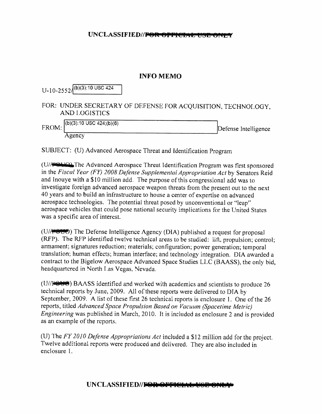## UNCLASSIFIED//FOR OPPICIAL USE ON

## INFO MEMO

| $U$ -10-2552 $/(b)(3)$ :10 USC 424                                                   |                      |
|--------------------------------------------------------------------------------------|----------------------|
| FOR: UNDER SECRETARY OF DEFENSE FOR ACQUISITION, TECHNOLOGY,<br><b>AND LOGISTICS</b> |                      |
| $FROM: \bigg ^{(b)(3):10 \text{ USC } 424; (b)(6)}\bigg $<br>Agency                  | Defense Intelligence |

SUBJECT: (U) Advanced Aerospace Threat and Identification Program

(U/FOLIO) The Advanced Aerospace Threat Identification Program was first sponsored in the Fiscal Year (FY) 2008 Defense Supplemental Appropriation Act by Senators Reid and Inouye with a \$10 million add. The purpose of this congressional add was to investigate foreign advanced aerospace weapon threats from the present out to the next 40 years and to build an infrastructure to house a centerof expertise on advanced acrospace technologies. The potential threat posed by unconventional or "leap" aerospace vehicles that could pose national security implications for the United States was a specific area of interest.

(U/ $\left(\frac{U}{\sqrt{V}}\right)$ ) The Defense Intelligence Agency (DIA) published a request for proposal (RFP). The RFP identified twelve technical areas to be studied: lift, propulsion; control; armament; signatures reduction; materials; configuration; power generation; temporal translation: human effects; human interface; and technology integration. DIA awarded a contract to the Bigelow Aerospace Advanced Space Studics LLC (BASS), the only bid, headquartered in North I.as Vegas, Nevada.

 $(U//\blacktriangleright\blacktriangleright\blacktriangleright\blacktriangleright\blacktriangleright\blacktriangleright\blacktriangleleft\blacktriangleright\blacktriangleright\blacktriangleleft\blacktriangleright\blacktriangleleft\blacktriangleright\blacktriangleleft\blacktriangleright\blacktriangleleft\blacktriangleright\blacktriangleleft\blacktriangleright\blacktriangleleft\blacktriangleright\blacktriangleleft\blacktriangleright\blacktriangleleft\blacktriangleright\blacktriangleleft\blacktriangleright\blacktriangleleft\blacktriangleright\blacktriangleleft\blacktriangleright\blacktriangleleft\blacktriangleright\blacktriangleleft\blacktriangleright\blacktriangleleft\blacktriangleright\blacktriangleleft\blacktriangleright\blacktriangleleft\blacktriangleright\blacktriangleleft\blacktriangleright\blacktriangleleft\blacktriangleright\blacktriangleleft\blacktriangleright\blacktriangle$ technical reports by June, 2009. All of these reports were delivered to DIA by September, 2009. A list of these first 26 technical reports is enclosure 1. One of the 26 reports, titled Advanced Space Propulsion Based on Vacuun (Spacetime Melric) Engineering was published in March, 2010. It is included as enclosure 2 and is provided as an example of the reports.

(U) The  $FY$  2010 Defense Appropriations Act included a \$12 million add for the project. Twelve additional reports were produced and delivered. They are also included in enclosure 1.

UNCLASSIFIED // FOR OFFICIAL USE 8